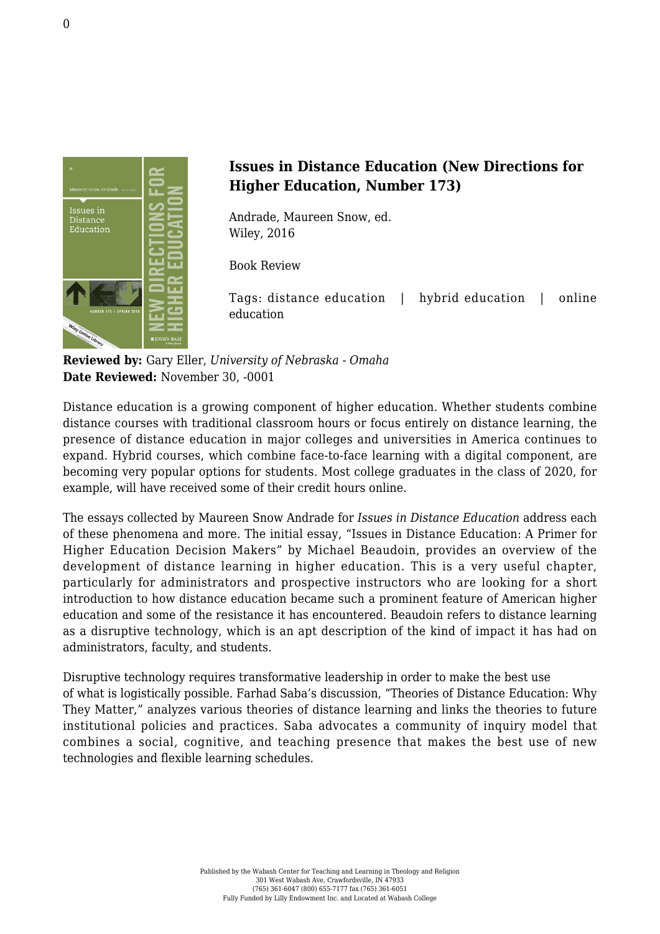

## **Issues in Distance Education (New Directions for Higher Education, Number 173)**

Andrade, Maureen Snow, ed. [Wiley, 2016](http://www.wiley.com/WileyCDA/WileyTitle/productCd-1119236606.html)

Book Review

Tags: distance education | hybrid education | online education

**Reviewed by:** Gary Eller, *University of Nebraska - Omaha* **Date Reviewed:** November 30, -0001

Distance education is a growing component of higher education. Whether students combine distance courses with traditional classroom hours or focus entirely on distance learning, the presence of distance education in major colleges and universities in America continues to expand. Hybrid courses, which combine face-to-face learning with a digital component, are becoming very popular options for students. Most college graduates in the class of 2020, for example, will have received some of their credit hours online.

The essays collected by Maureen Snow Andrade for *Issues in Distance Education* address each of these phenomena and more. The initial essay, "Issues in Distance Education: A Primer for Higher Education Decision Makers" by Michael Beaudoin, provides an overview of the development of distance learning in higher education. This is a very useful chapter, particularly for administrators and prospective instructors who are looking for a short introduction to how distance education became such a prominent feature of American higher education and some of the resistance it has encountered. Beaudoin refers to distance learning as a disruptive technology, which is an apt description of the kind of impact it has had on administrators, faculty, and students.

Disruptive technology requires transformative leadership in order to make the best use of what is logistically possible. Farhad Saba's discussion, "Theories of Distance Education: Why They Matter," analyzes various theories of distance learning and links the theories to future institutional policies and practices. Saba advocates a community of inquiry model that combines a social, cognitive, and teaching presence that makes the best use of new technologies and flexible learning schedules.